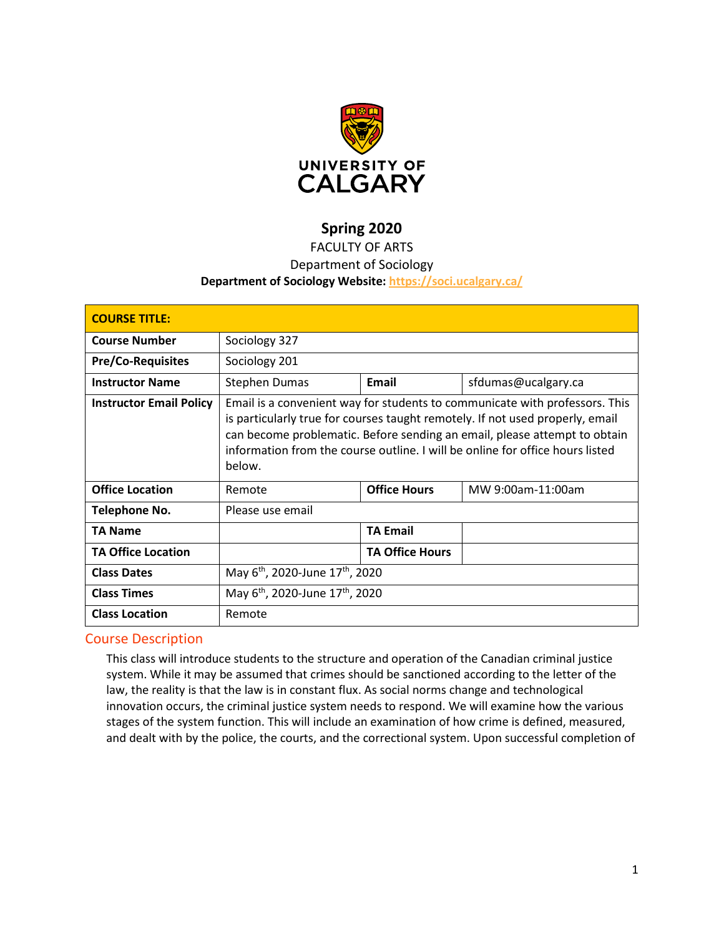

# **Spring 2020**

## FACULTY OF ARTS

## Department of Sociology

#### **Department of Sociology Website:<https://soci.ucalgary.ca/>**

| <b>COURSE TITLE:</b>           |                                                                                                                                                                                                                                                                                                                                      |                        |                     |  |
|--------------------------------|--------------------------------------------------------------------------------------------------------------------------------------------------------------------------------------------------------------------------------------------------------------------------------------------------------------------------------------|------------------------|---------------------|--|
| <b>Course Number</b>           | Sociology 327                                                                                                                                                                                                                                                                                                                        |                        |                     |  |
| <b>Pre/Co-Requisites</b>       | Sociology 201                                                                                                                                                                                                                                                                                                                        |                        |                     |  |
| <b>Instructor Name</b>         | <b>Stephen Dumas</b>                                                                                                                                                                                                                                                                                                                 | Email                  | sfdumas@ucalgary.ca |  |
| <b>Instructor Email Policy</b> | Email is a convenient way for students to communicate with professors. This<br>is particularly true for courses taught remotely. If not used properly, email<br>can become problematic. Before sending an email, please attempt to obtain<br>information from the course outline. I will be online for office hours listed<br>below. |                        |                     |  |
| <b>Office Location</b>         | Remote                                                                                                                                                                                                                                                                                                                               | <b>Office Hours</b>    | MW 9:00am-11:00am   |  |
| Telephone No.                  | Please use email                                                                                                                                                                                                                                                                                                                     |                        |                     |  |
| <b>TA Name</b>                 |                                                                                                                                                                                                                                                                                                                                      | <b>TA Email</b>        |                     |  |
| <b>TA Office Location</b>      |                                                                                                                                                                                                                                                                                                                                      | <b>TA Office Hours</b> |                     |  |
| <b>Class Dates</b>             | May 6 <sup>th</sup> , 2020-June 17 <sup>th</sup> , 2020                                                                                                                                                                                                                                                                              |                        |                     |  |
| <b>Class Times</b>             | May 6 <sup>th</sup> , 2020-June 17 <sup>th</sup> , 2020                                                                                                                                                                                                                                                                              |                        |                     |  |
| <b>Class Location</b>          | Remote                                                                                                                                                                                                                                                                                                                               |                        |                     |  |

Course Description

This class will introduce students to the structure and operation of the Canadian criminal justice system. While it may be assumed that crimes should be sanctioned according to the letter of the law, the reality is that the law is in constant flux. As social norms change and technological innovation occurs, the criminal justice system needs to respond. We will examine how the various stages of the system function. This will include an examination of how crime is defined, measured, and dealt with by the police, the courts, and the correctional system. Upon successful completion of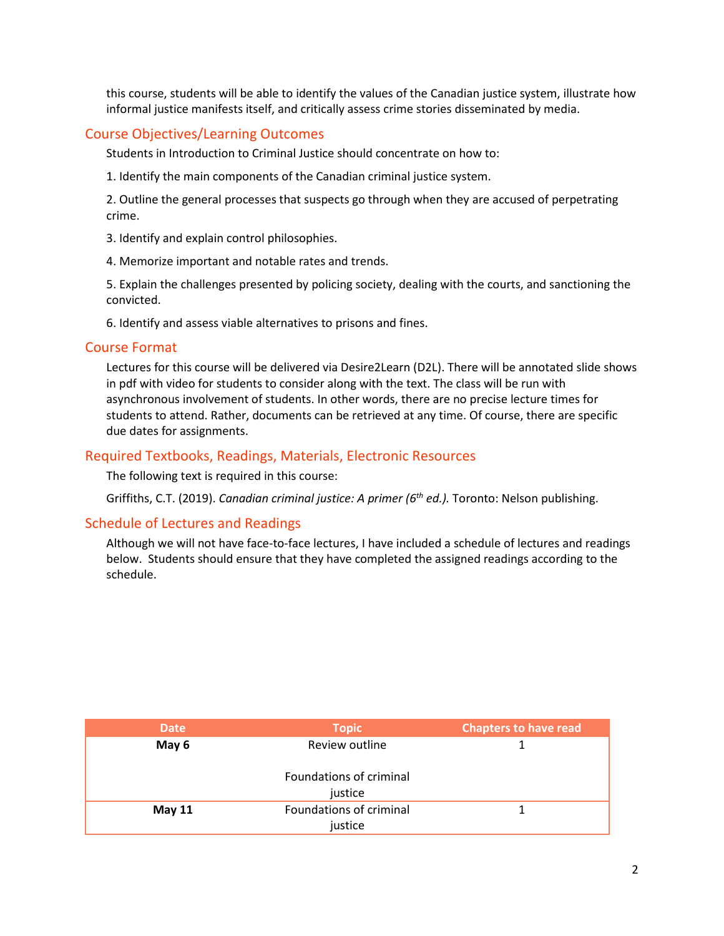this course, students will be able to identify the values of the Canadian justice system, illustrate how informal justice manifests itself, and critically assess crime stories disseminated by media.

## Course Objectives/Learning Outcomes

Students in Introduction to Criminal Justice should concentrate on how to:

1. Identify the main components of the Canadian criminal justice system.

2. Outline the general processes that suspects go through when they are accused of perpetrating crime.

3. Identify and explain control philosophies.

4. Memorize important and notable rates and trends.

5. Explain the challenges presented by policing society, dealing with the courts, and sanctioning the convicted.

6. Identify and assess viable alternatives to prisons and fines.

#### Course Format

Lectures for this course will be delivered via Desire2Learn (D2L). There will be annotated slide shows in pdf with video for students to consider along with the text. The class will be run with asynchronous involvement of students. In other words, there are no precise lecture times for students to attend. Rather, documents can be retrieved at any time. Of course, there are specific due dates for assignments.

#### Required Textbooks, Readings, Materials, Electronic Resources

The following text is required in this course:

Griffiths, C.T. (2019). *Canadian criminal justice: A primer (6th ed.).* Toronto: Nelson publishing.

#### Schedule of Lectures and Readings

Although we will not have face-to-face lectures, I have included a schedule of lectures and readings below. Students should ensure that they have completed the assigned readings according to the schedule.

| <b>Date</b>   | <b>Topic</b>                       | <b>Chapters to have read</b> |  |
|---------------|------------------------------------|------------------------------|--|
| May 6         | Review outline                     |                              |  |
|               | Foundations of criminal<br>justice |                              |  |
| <b>May 11</b> | Foundations of criminal            |                              |  |
|               | justice                            |                              |  |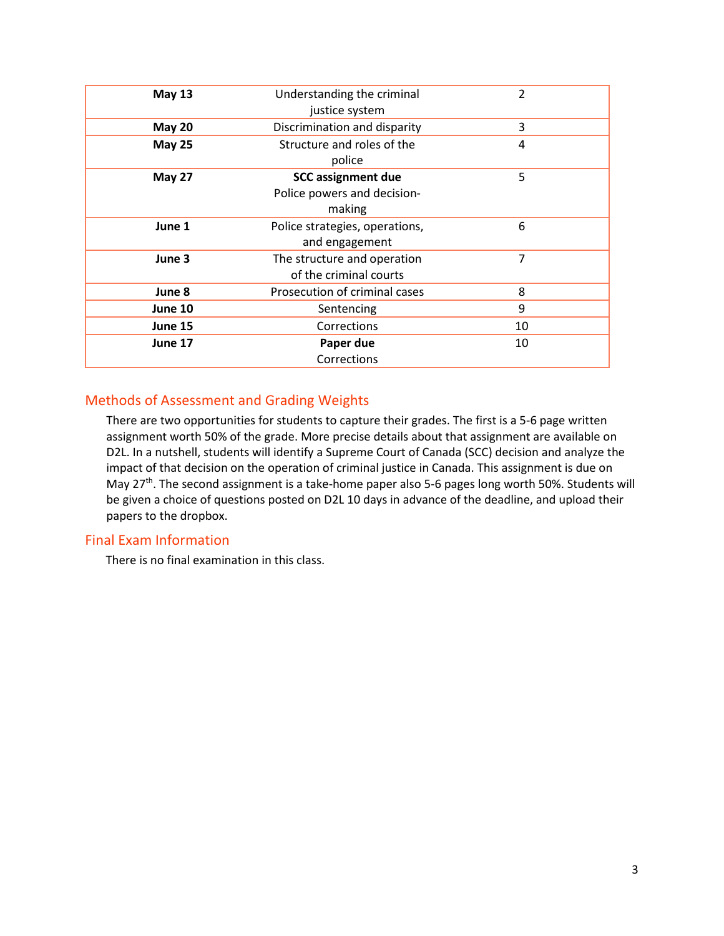| <b>May 13</b> | Understanding the criminal<br>2     |  |
|---------------|-------------------------------------|--|
|               | justice system                      |  |
| <b>May 20</b> | 3<br>Discrimination and disparity   |  |
| <b>May 25</b> | Structure and roles of the<br>4     |  |
|               | police                              |  |
| <b>May 27</b> | 5<br><b>SCC assignment due</b>      |  |
|               | Police powers and decision-         |  |
|               | making                              |  |
| June 1        | 6<br>Police strategies, operations, |  |
|               | and engagement                      |  |
| June 3        | 7<br>The structure and operation    |  |
|               | of the criminal courts              |  |
| June 8        | Prosecution of criminal cases<br>8  |  |
| June 10       | 9<br>Sentencing                     |  |
| June 15       | Corrections<br>10                   |  |
| June 17       | Paper due<br>10                     |  |
|               | Corrections                         |  |

## Methods of Assessment and Grading Weights

There are two opportunities for students to capture their grades. The first is a 5-6 page written assignment worth 50% of the grade. More precise details about that assignment are available on D2L. In a nutshell, students will identify a Supreme Court of Canada (SCC) decision and analyze the impact of that decision on the operation of criminal justice in Canada. This assignment is due on May 27<sup>th</sup>. The second assignment is a take-home paper also 5-6 pages long worth 50%. Students will be given a choice of questions posted on D2L 10 days in advance of the deadline, and upload their papers to the dropbox.

#### Final Exam Information

There is no final examination in this class.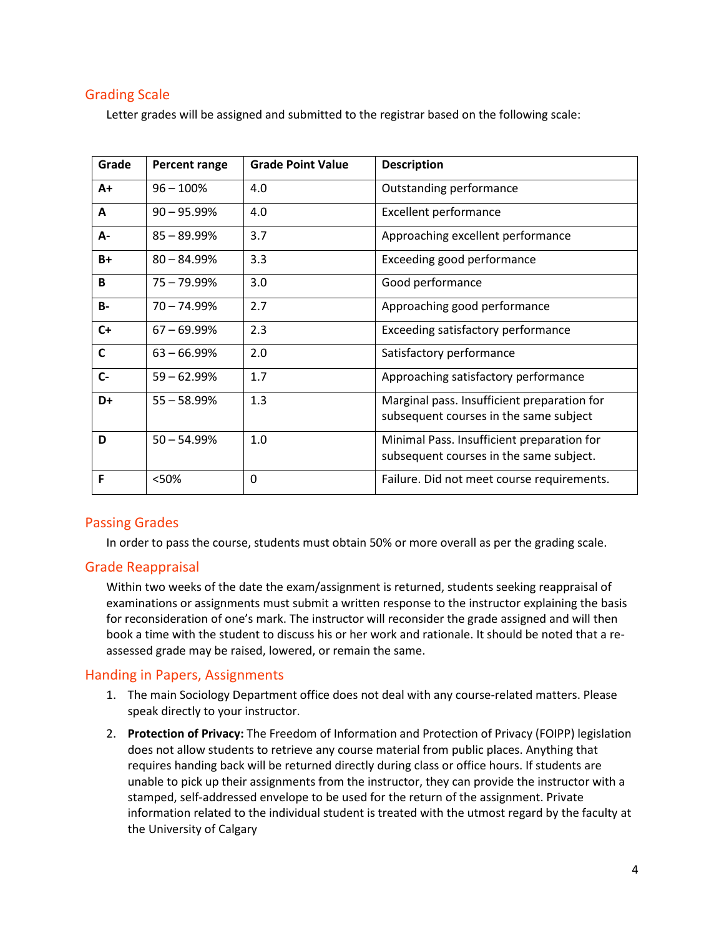## Grading Scale

Letter grades will be assigned and submitted to the registrar based on the following scale:

| Grade        | Percent range  | <b>Grade Point Value</b> | <b>Description</b>                                                                    |
|--------------|----------------|--------------------------|---------------------------------------------------------------------------------------|
| $A+$         | $96 - 100%$    | 4.0                      | Outstanding performance                                                               |
| A            | $90 - 95.99\%$ | 4.0                      | <b>Excellent performance</b>                                                          |
| А-           | $85 - 89.99%$  | 3.7                      | Approaching excellent performance                                                     |
| $B+$         | $80 - 84.99\%$ | 3.3                      | Exceeding good performance                                                            |
| B            | $75 - 79.99\%$ | 3.0                      | Good performance                                                                      |
| <b>B-</b>    | $70 - 74.99%$  | 2.7                      | Approaching good performance                                                          |
| $C+$         | $67 - 69.99%$  | 2.3                      | Exceeding satisfactory performance                                                    |
| $\mathsf{C}$ | $63 - 66.99%$  | 2.0                      | Satisfactory performance                                                              |
| $C -$        | $59 - 62.99%$  | 1.7                      | Approaching satisfactory performance                                                  |
| D+           | $55 - 58.99%$  | 1.3                      | Marginal pass. Insufficient preparation for<br>subsequent courses in the same subject |
| D            | $50 - 54.99%$  | 1.0                      | Minimal Pass. Insufficient preparation for<br>subsequent courses in the same subject. |
| F            | <50%           | 0                        | Failure. Did not meet course requirements.                                            |

## Passing Grades

In order to pass the course, students must obtain 50% or more overall as per the grading scale.

#### Grade Reappraisal

Within two weeks of the date the exam/assignment is returned, students seeking reappraisal of examinations or assignments must submit a written response to the instructor explaining the basis for reconsideration of one's mark. The instructor will reconsider the grade assigned and will then book a time with the student to discuss his or her work and rationale. It should be noted that a reassessed grade may be raised, lowered, or remain the same.

#### Handing in Papers, Assignments

- 1. The main Sociology Department office does not deal with any course-related matters. Please speak directly to your instructor.
- 2. **Protection of Privacy:** The Freedom of Information and Protection of Privacy (FOIPP) legislation does not allow students to retrieve any course material from public places. Anything that requires handing back will be returned directly during class or office hours. If students are unable to pick up their assignments from the instructor, they can provide the instructor with a stamped, self-addressed envelope to be used for the return of the assignment. Private information related to the individual student is treated with the utmost regard by the faculty at the University of Calgary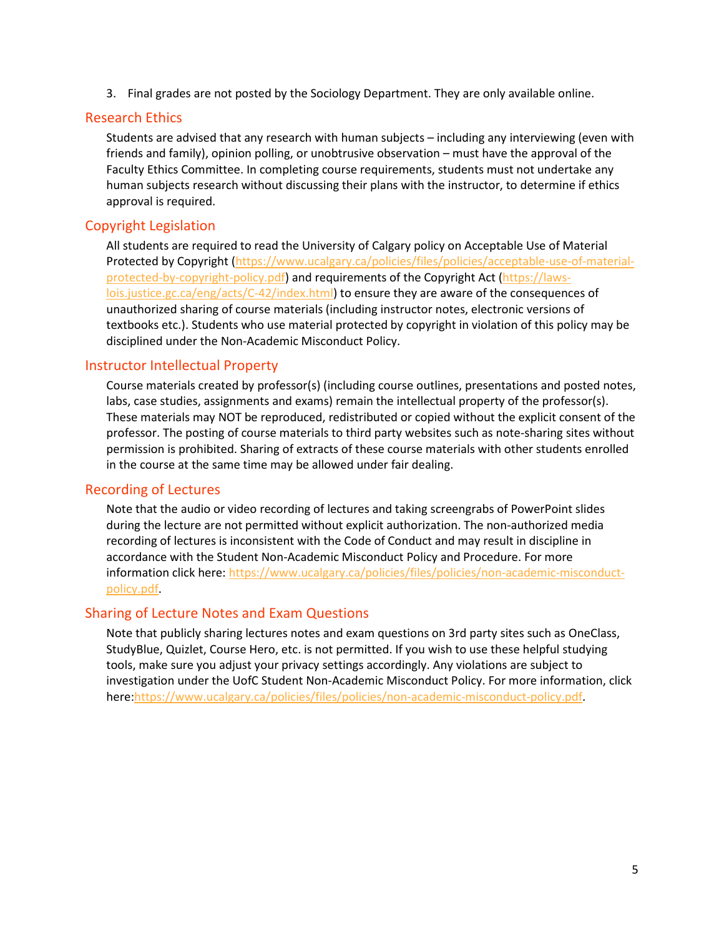3. Final grades are not posted by the Sociology Department. They are only available online.

#### Research Ethics

Students are advised that any research with human subjects – including any interviewing (even with friends and family), opinion polling, or unobtrusive observation – must have the approval of the Faculty Ethics Committee. In completing course requirements, students must not undertake any human subjects research without discussing their plans with the instructor, to determine if ethics approval is required.

#### Copyright Legislation

All students are required to read the University of Calgary policy on Acceptable Use of Material Protected by Copyright [\(https://www.ucalgary.ca/policies/files/policies/acceptable-use-of-material](https://www.ucalgary.ca/policies/files/policies/acceptable-use-of-material-protected-by-copyright-policy.pdf)[protected-by-copyright-policy.pdf\)](https://www.ucalgary.ca/policies/files/policies/acceptable-use-of-material-protected-by-copyright-policy.pdf) and requirements of the Copyright Act [\(https://laws](https://laws-lois.justice.gc.ca/eng/acts/C-42/index.html)[lois.justice.gc.ca/eng/acts/C-42/index.html\)](https://laws-lois.justice.gc.ca/eng/acts/C-42/index.html) to ensure they are aware of the consequences of unauthorized sharing of course materials (including instructor notes, electronic versions of textbooks etc.). Students who use material protected by copyright in violation of this policy may be disciplined under the Non-Academic Misconduct Policy.

#### Instructor Intellectual Property

Course materials created by professor(s) (including course outlines, presentations and posted notes, labs, case studies, assignments and exams) remain the intellectual property of the professor(s). These materials may NOT be reproduced, redistributed or copied without the explicit consent of the professor. The posting of course materials to third party websites such as note-sharing sites without permission is prohibited. Sharing of extracts of these course materials with other students enrolled in the course at the same time may be allowed under fair dealing.

#### Recording of Lectures

Note that the audio or video recording of lectures and taking screengrabs of PowerPoint slides during the lecture are not permitted without explicit authorization. The non-authorized media recording of lectures is inconsistent with the Code of Conduct and may result in discipline in accordance with the Student Non-Academic Misconduct Policy and Procedure. For more information click here: [https://www.ucalgary.ca/policies/files/policies/non-academic-misconduct](https://www.ucalgary.ca/policies/files/policies/non-academic-misconduct-policy.pdf)[policy.pdf.](https://www.ucalgary.ca/policies/files/policies/non-academic-misconduct-policy.pdf)

#### Sharing of Lecture Notes and Exam Questions

Note that publicly sharing lectures notes and exam questions on 3rd party sites such as OneClass, StudyBlue, Quizlet, Course Hero, etc. is not permitted. If you wish to use these helpful studying tools, make sure you adjust your privacy settings accordingly. Any violations are subject to investigation under the UofC Student Non-Academic Misconduct Policy. For more information, click here[:https://www.ucalgary.ca/policies/files/policies/non-academic-misconduct-policy.pdf.](https://www.ucalgary.ca/policies/files/policies/non-academic-misconduct-policy.pdf)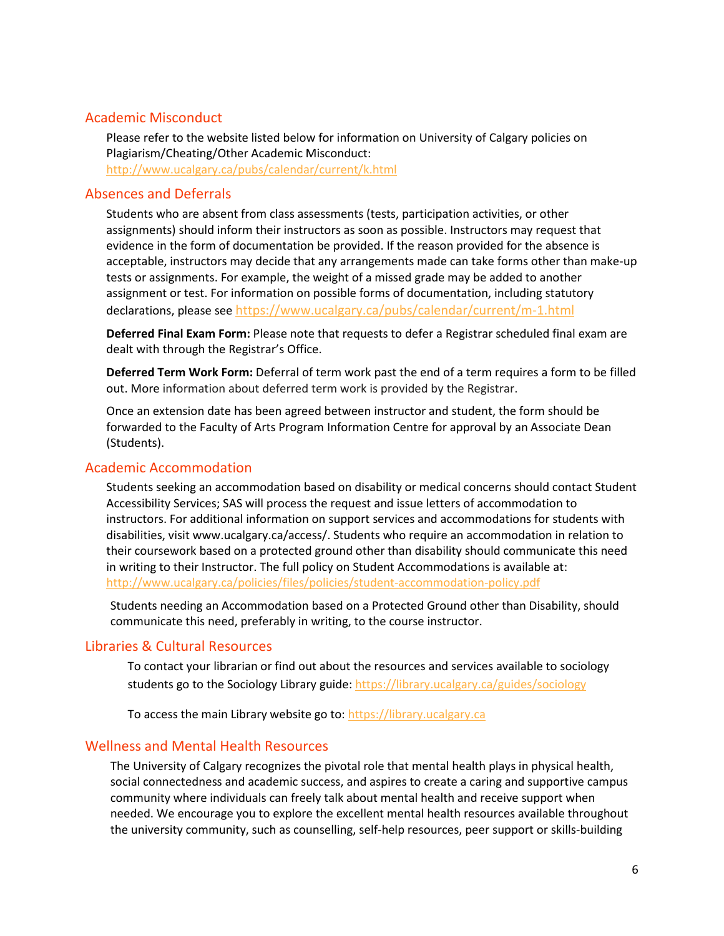## Academic Misconduct

Please refer to the website listed below for information on University of Calgary policies on Plagiarism/Cheating/Other Academic Misconduct: <http://www.ucalgary.ca/pubs/calendar/current/k.html>

#### Absences and Deferrals

Students who are absent from class assessments (tests, participation activities, or other assignments) should inform their instructors as soon as possible. Instructors may request that evidence in the form of documentation be provided. If the reason provided for the absence is acceptable, instructors may decide that any arrangements made can take forms other than make-up tests or assignments. For example, the weight of a missed grade may be added to another assignment or test. For information on possible forms of documentation, including statutory declarations, please see <https://www.ucalgary.ca/pubs/calendar/current/m-1.html>

**Deferred Final Exam Form:** Please note that requests to defer a Registrar scheduled final exam are dealt with through the Registrar's Office.

**Deferred Term Work Form:** Deferral of term work past the end of a term requires a form to be filled out. More information about deferred term work is provided by the Registrar.

Once an extension date has been agreed between instructor and student, the form should be forwarded to the Faculty of Arts Program Information Centre for approval by an Associate Dean (Students).

#### Academic Accommodation

Students seeking an accommodation based on disability or medical concerns should contact Student Accessibility Services; SAS will process the request and issue letters of accommodation to instructors. For additional information on support services and accommodations for students with disabilities, visit www.ucalgary.ca/access/. Students who require an accommodation in relation to their coursework based on a protected ground other than disability should communicate this need in writing to their Instructor. The full policy on Student Accommodations is available at: <http://www.ucalgary.ca/policies/files/policies/student-accommodation-policy.pdf>

Students needing an Accommodation based on a Protected Ground other than Disability, should communicate this need, preferably in writing, to the course instructor.

#### Libraries & Cultural Resources

To contact your librarian or find out about the resources and services available to sociology students go to the Sociology Library guide[: https://library.ucalgary.ca/guides/sociology](https://library.ucalgary.ca/guides/sociology)

To access the main Library website go to: [https://library.ucalgary.ca](https://library.ucalgary.ca/)

#### Wellness and Mental Health Resources

The University of Calgary recognizes the pivotal role that mental health plays in physical health, social connectedness and academic success, and aspires to create a caring and supportive campus community where individuals can freely talk about mental health and receive support when needed. We encourage you to explore the excellent mental health resources available throughout the university community, such as counselling, self-help resources, peer support or skills-building